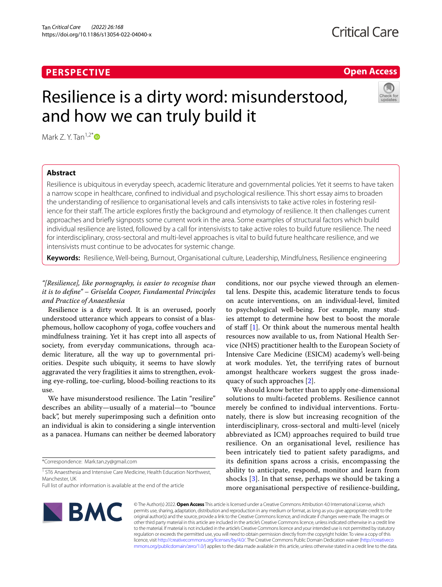## **PERSPECTIVE**

## **Critical Care**

## **Open Access**

# Resilience is a dirty word: misunderstood, and how we can truly build it



Mark  $Z \text{ Y.}$  Tan<sup>1,2\*</sup> D

## **Abstract**

Resilience is ubiquitous in everyday speech, academic literature and governmental policies. Yet it seems to have taken a narrow scope in healthcare, confned to individual and psychological resilience. This short essay aims to broaden the understanding of resilience to organisational levels and calls intensivists to take active roles in fostering resilience for their staff. The article explores firstly the background and etymology of resilience. It then challenges current approaches and briefy signposts some current work in the area. Some examples of structural factors which build individual resilience are listed, followed by a call for intensivists to take active roles to build future resilience. The need for interdisciplinary, cross-sectoral and multi-level approaches is vital to build future healthcare resilience, and we intensivists must continue to be advocates for systemic change.

**Keywords:** Resilience, Well-being, Burnout, Organisational culture, Leadership, Mindfulness, Resilience engineering

### *"[Resilience], like pornography, is easier to recognise than it is to defne" – Griselda Cooper, Fundamental Principles and Practice of Anaesthesia*

Resilience is a dirty word. It is an overused, poorly understood utterance which appears to consist of a blasphemous, hollow cacophony of yoga, coffee vouchers and mindfulness training. Yet it has crept into all aspects of society, from everyday communications, through academic literature, all the way up to governmental priorities. Despite such ubiquity, it seems to have slowly aggravated the very fragilities it aims to strengthen, evoking eye-rolling, toe-curling, blood-boiling reactions to its use.

We have misunderstood resilience. The Latin "resilire" describes an ability—usually of a material—to "bounce back", but merely superimposing such a defnition onto an individual is akin to considering a single intervention as a panacea. Humans can neither be deemed laboratory

\*Correspondence: Mark.tan.zy@gmail.com

<sup>1</sup> ST6 Anaesthesia and Intensive Care Medicine, Health Education Northwest, Manchester, UK

conditions, nor our psyche viewed through an elemental lens. Despite this, academic literature tends to focus on acute interventions, on an individual-level, limited to psychological well-being. For example, many studies attempt to determine how best to boost the morale of staf [[1\]](#page-2-0). Or think about the numerous mental health resources now available to us, from National Health Service (NHS) practitioner health to the European Society of Intensive Care Medicine (ESICM) academy's well-being at work modules. Yet, the terrifying rates of burnout amongst healthcare workers suggest the gross inadequacy of such approaches [[2\]](#page-2-1).

We should know better than to apply one-dimensional solutions to multi-faceted problems. Resilience cannot merely be confned to individual interventions. Fortunately, there is slow but increasing recognition of the interdisciplinary, cross-sectoral and multi-level (nicely abbreviated as ICM) approaches required to build true resilience. On an organisational level, resilience has been intricately tied to patient safety paradigms, and its defnition spans across a crisis, encompassing the ability to anticipate, respond, monitor and learn from shocks [\[3](#page-2-2)]. In that sense, perhaps we should be taking a more organisational perspective of resilience-building,



© The Author(s) 2022. **Open Access** This article is licensed under a Creative Commons Attribution 4.0 International License, which permits use, sharing, adaptation, distribution and reproduction in any medium or format, as long as you give appropriate credit to the original author(s) and the source, provide a link to the Creative Commons licence, and indicate if changes were made. The images or other third party material in this article are included in the article's Creative Commons licence, unless indicated otherwise in a credit line to the material. If material is not included in the article's Creative Commons licence and your intended use is not permitted by statutory regulation or exceeds the permitted use, you will need to obtain permission directly from the copyright holder. To view a copy of this licence, visit [http://creativecommons.org/licenses/by/4.0/.](http://creativecommons.org/licenses/by/4.0/) The Creative Commons Public Domain Dedication waiver ([http://creativeco](http://creativecommons.org/publicdomain/zero/1.0/) [mmons.org/publicdomain/zero/1.0/](http://creativecommons.org/publicdomain/zero/1.0/)) applies to the data made available in this article, unless otherwise stated in a credit line to the data.

Full list of author information is available at the end of the article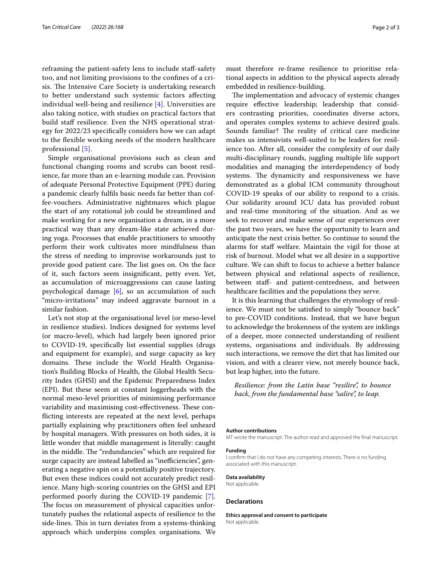reframing the patient-safety lens to include staf-safety too, and not limiting provisions to the confnes of a crisis. The Intensive Care Society is undertaking research to better understand such systemic factors afecting individual well-being and resilience [[4\]](#page-2-3). Universities are also taking notice, with studies on practical factors that build staff resilience. Even the NHS operational strategy for 2022/23 specifcally considers how we can adapt to the fexible working needs of the modern healthcare professional [\[5\]](#page-2-4).

Simple organisational provisions such as clean and functional changing rooms and scrubs can boost resilience, far more than an e-learning module can. Provision of adequate Personal Protective Equipment (PPE) during a pandemic clearly fulfls basic needs far better than coffee-vouchers. Administrative nightmares which plague the start of any rotational job could be streamlined and make working for a new organisation a dream, in a more practical way than any dream-like state achieved during yoga. Processes that enable practitioners to smoothy perform their work cultivates more mindfulness than the stress of needing to improvise workarounds just to provide good patient care. The list goes on. On the face of it, such factors seem insignifcant, petty even. Yet, as accumulation of microaggressions can cause lasting psychological damage [[6\]](#page-2-5), so an accumulation of such "micro-irritations" may indeed aggravate burnout in a similar fashion.

Let's not stop at the organisational level (or meso-level in resilience studies). Indices designed for systems level (or macro-level), which had largely been ignored prior to COVID-19, specifcally list essential supplies (drugs and equipment for example), and surge capacity as key domains. These include the World Health Organisation's Building Blocks of Health, the Global Health Security Index (GHSI) and the Epidemic Preparedness Index (EPI). But these seem at constant loggerheads with the normal meso-level priorities of minimising performance variability and maximising cost-effectiveness. These conficting interests are repeated at the next level, perhaps partially explaining why practitioners often feel unheard by hospital managers. With pressures on both sides, it is little wonder that middle management is literally: caught in the middle. The "redundancies" which are required for surge capacity are instead labelled as "inefficiencies", generating a negative spin on a potentially positive trajectory. But even these indices could not accurately predict resilience. Many high-scoring countries on the GHSI and EPI performed poorly during the COVID-19 pandemic [\[7](#page-2-6)]. The focus on measurement of physical capacities unfortunately pushes the relational aspects of resilience to the side-lines. This in turn deviates from a systems-thinking approach which underpins complex organisations. We must therefore re-frame resilience to prioritise relational aspects in addition to the physical aspects already embedded in resilience-building.

The implementation and advocacy of systemic changes require efective leadership; leadership that considers contrasting priorities, coordinates diverse actors, and operates complex systems to achieve desired goals. Sounds familiar? The reality of critical care medicine makes us intensivists well-suited to be leaders for resilience too. After all, consider the complexity of our daily multi-disciplinary rounds, juggling multiple life support modalities and managing the interdependency of body systems. The dynamicity and responsiveness we have demonstrated as a global ICM community throughout COVID-19 speaks of our ability to respond to a crisis. Our solidarity around ICU data has provided robust and real-time monitoring of the situation. And as we seek to recover and make sense of our experiences over the past two years, we have the opportunity to learn and anticipate the next crisis better. So continue to sound the alarms for staff welfare. Maintain the vigil for those at risk of burnout. Model what we all desire in a supportive culture. We can shift to focus to achieve a better balance between physical and relational aspects of resilience, between staf- and patient-centredness, and between healthcare facilities and the populations they serve.

It is this learning that challenges the etymology of resilience. We must not be satisfed to simply "bounce back" to pre-COVID conditions. Instead, that we have begun to acknowledge the brokenness of the system are inklings of a deeper, more connected understanding of resilient systems, organisations and individuals. By addressing such interactions, we remove the dirt that has limited our vision, and with a clearer view, not merely bounce back, but leap higher, into the future.

*Resilience: from the Latin base "resilire", to bounce back, from the fundamental base "salire", to leap.*

#### **Author contributions**

MT wrote the manuscript. The author read and approved the fnal manuscript.

#### **Funding**

I confrm that I do not have any competing interests. There is no funding associated with this manuscript.

**Data availability**

Not applicable.

#### **Declarations**

**Ethics approval and consent to participate** Not applicable.